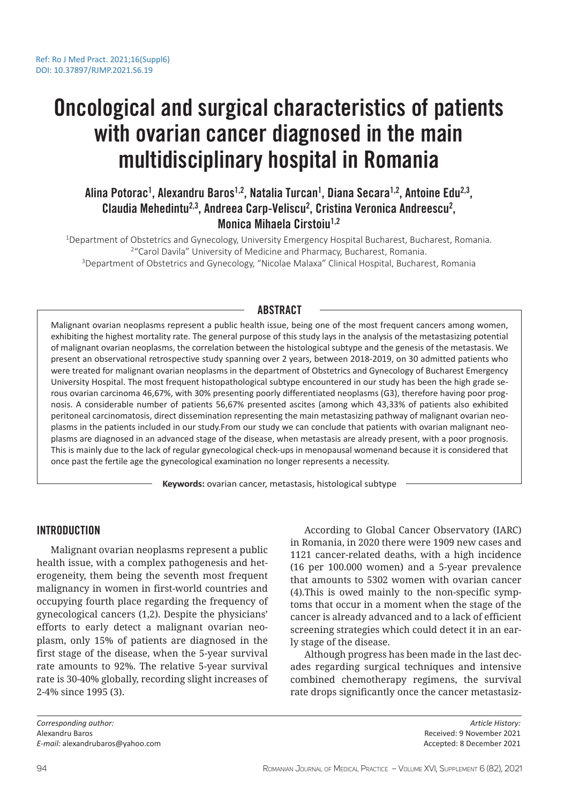# Oncological and surgical characteristics of patients with ovarian cancer diagnosed in the main multidisciplinary hospital in Romania

## Alina Potorac<sup>1</sup>, Alexandru Baros<sup>1,2</sup>, Natalia Turcan<sup>1</sup>, Diana Secara<sup>1,2</sup>, Antoine Edu<sup>2,3</sup>, Claudia Mehedintu<sup>2,3</sup>, Andreea Carp-Veliscu<sup>2</sup>, Cristina Veronica Andreescu<sup>2</sup>, Monica Mihaela Cirstoiu<sup>1,2</sup>

<sup>1</sup>Department of Obstetrics and Gynecology, University Emergency Hospital Bucharest, Bucharest, Romania. <sup>2</sup> "Carol Davila" University of Medicine and Pharmacy, Bucharest, Romania. <sup>3</sup>Department of Obstetrics and Gynecology, "Nicolae Malaxa" Clinical Hospital, Bucharest, Romania

### ABSTRACT

Malignant ovarian neoplasms represent a public health issue, being one of the most frequent cancers among women, exhibiting the highest mortality rate. The general purpose of this study lays in the analysis of the metastasizing potential of malignant ovarian neoplasms, the correlation between the histological subtype and the genesis of the metastasis. We present an observational retrospective study spanning over 2 years, between 2018-2019, on 30 admitted patients who were treated for malignant ovarian neoplasms in the department of Obstetrics and Gynecology of Bucharest Emergency University Hospital. The most frequent histopathological subtype encountered in our study has been the high grade serous ovarian carcinoma 46,67%, with 30% presenting poorly differentiated neoplasms (G3), therefore having poor prognosis. A considerable number of patients 56,67% presented ascites (among which 43,33% of patients also exhibited peritoneal carcinomatosis, direct dissemination representing the main metastasizing pathway of malignant ovarian neoplasms in the patients included in our study.From our study we can conclude that patients with ovarian malignant neoplasms are diagnosed in an advanced stage of the disease, when metastasis are already present, with a poor prognosis. This is mainly due to the lack of regular gynecological check-ups in menopausal womenand because it is considered that once past the fertile age the gynecological examination no longer represents a necessity.

**Keywords:** ovarian cancer, metastasis, histological subtype

#### INTRODUCTION

Malignant ovarian neoplasms represent a public health issue, with a complex pathogenesis and heterogeneity, them being the seventh most frequent malignancy in women in first-world countries and occupying fourth place regarding the frequency of gynecological cancers (1,2). Despite the physicians' efforts to early detect a malignant ovarian neoplasm, only 15% of patients are diagnosed in the first stage of the disease, when the 5-year survival rate amounts to 92%. The relative 5-year survival rate is 30-40% globally, recording slight increases of 2-4% since 1995 (3).

According to Global Cancer Observatory (IARC) in Romania, in 2020 there were 1909 new cases and 1121 cancer-related deaths, with a high incidence (16 per 100.000 women) and a 5-year prevalence that amounts to 5302 women with ovarian cancer (4).This is owed mainly to the non-specific symptoms that occur in a moment when the stage of the cancer is already advanced and to a lack of efficient screening strategies which could detect it in an early stage of the disease.

Although progress has been made in the last decades regarding surgical techniques and intensive combined chemotherapy regimens, the survival rate drops significantly once the cancer metastasiz-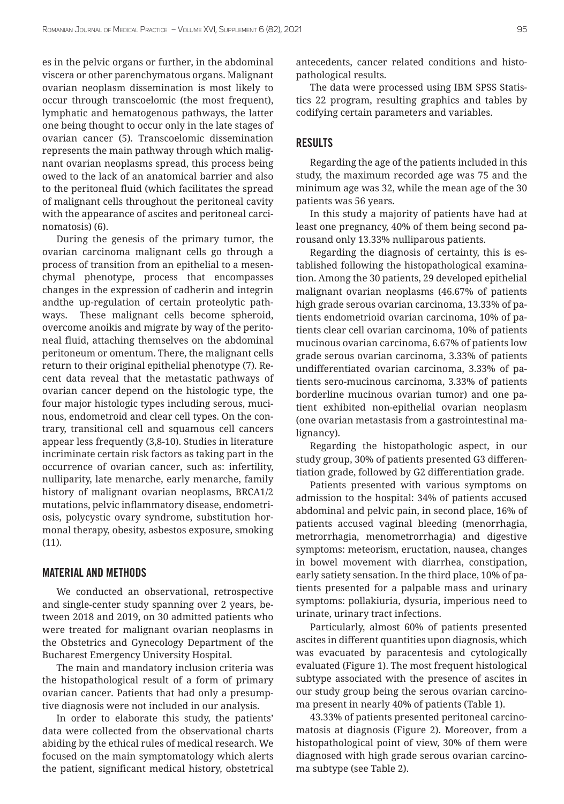es in the pelvic organs or further, in the abdominal viscera or other parenchymatous organs. Malignant ovarian neoplasm dissemination is most likely to occur through transcoelomic (the most frequent), lymphatic and hematogenous pathways, the latter one being thought to occur only in the late stages of ovarian cancer (5). Transcoelomic dissemination represents the main pathway through which malignant ovarian neoplasms spread, this process being owed to the lack of an anatomical barrier and also to the peritoneal fluid (which facilitates the spread of malignant cells throughout the peritoneal cavity with the appearance of ascites and peritoneal carcinomatosis) (6).

During the genesis of the primary tumor, the ovarian carcinoma malignant cells go through a process of transition from an epithelial to a mesenchymal phenotype, process that encompasses changes in the expression of cadherin and integrin andthe up-regulation of certain proteolytic pathways. These malignant cells become spheroid, overcome anoikis and migrate by way of the peritoneal fluid, attaching themselves on the abdominal peritoneum or omentum. There, the malignant cells return to their original epithelial phenotype (7). Recent data reveal that the metastatic pathways of ovarian cancer depend on the histologic type, the four major histologic types including serous, mucinous, endometroid and clear cell types. On the contrary, transitional cell and squamous cell cancers appear less frequently (3,8-10). Studies in literature incriminate certain risk factors as taking part in the occurrence of ovarian cancer, such as: infertility, nulliparity, late menarche, early menarche, family history of malignant ovarian neoplasms, BRCA1/2 mutations, pelvic inflammatory disease, endometriosis, polycystic ovary syndrome, substitution hormonal therapy, obesity, asbestos exposure, smoking (11).

#### MATERIAL AND METHODS

We conducted an observational, retrospective and single-center study spanning over 2 years, between 2018 and 2019, on 30 admitted patients who were treated for malignant ovarian neoplasms in the Obstetrics and Gynecology Department of the Bucharest Emergency University Hospital.

The main and mandatory inclusion criteria was the histopathological result of a form of primary ovarian cancer. Patients that had only a presumptive diagnosis were not included in our analysis.

In order to elaborate this study, the patients' data were collected from the observational charts abiding by the ethical rules of medical research. We focused on the main symptomatology which alerts the patient, significant medical history, obstetrical antecedents, cancer related conditions and histopathological results.

The data were processed using IBM SPSS Statistics 22 program, resulting graphics and tables by codifying certain parameters and variables.

#### RESULTS

Regarding the age of the patients included in this study, the maximum recorded age was 75 and the minimum age was 32, while the mean age of the 30 patients was 56 years.

In this study a majority of patients have had at least one pregnancy, 40% of them being second parousand only 13.33% nulliparous patients.

Regarding the diagnosis of certainty, this is established following the histopathological examination. Among the 30 patients, 29 developed epithelial malignant ovarian neoplasms (46.67% of patients high grade serous ovarian carcinoma, 13.33% of patients endometrioid ovarian carcinoma, 10% of patients clear cell ovarian carcinoma, 10% of patients mucinous ovarian carcinoma, 6.67% of patients low grade serous ovarian carcinoma, 3.33% of patients undifferentiated ovarian carcinoma, 3.33% of patients sero-mucinous carcinoma, 3.33% of patients borderline mucinous ovarian tumor) and one patient exhibited non-epithelial ovarian neoplasm (one ovarian metastasis from a gastrointestinal malignancy).

Regarding the histopathologic aspect, in our study group, 30% of patients presented G3 differentiation grade, followed by G2 differentiation grade.

Patients presented with various symptoms on admission to the hospital: 34% of patients accused abdominal and pelvic pain, in second place, 16% of patients accused vaginal bleeding (menorrhagia, metrorrhagia, menometrorrhagia) and digestive symptoms: meteorism, eructation, nausea, changes in bowel movement with diarrhea, constipation, early satiety sensation. In the third place, 10% of patients presented for a palpable mass and urinary symptoms: pollakiuria, dysuria, imperious need to urinate, urinary tract infections.

Particularly, almost 60% of patients presented ascites in different quantities upon diagnosis, which was evacuated by paracentesis and cytologically evaluated (Figure 1). The most frequent histological subtype associated with the presence of ascites in our study group being the serous ovarian carcinoma present in nearly 40% of patients (Table 1).

43.33% of patients presented peritoneal carcinomatosis at diagnosis (Figure 2). Moreover, from a histopathological point of view, 30% of them were diagnosed with high grade serous ovarian carcinoma subtype (see Table 2).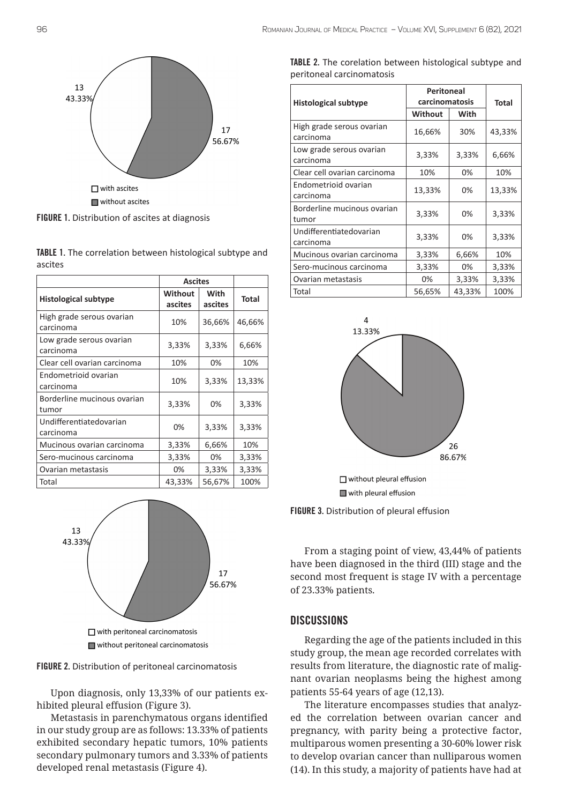

FIGURE 1. Distribution of ascites at diagnosis

TABLE 1. The correlation between histological subtype and ascites

|                                        | <b>Ascites</b>            |                 |              |
|----------------------------------------|---------------------------|-----------------|--------------|
| <b>Histological subtype</b>            | <b>Without</b><br>ascites | With<br>ascites | <b>Total</b> |
| High grade serous ovarian<br>carcinoma | 10%                       | 36,66%          | 46,66%       |
| Low grade serous ovarian<br>carcinoma  | 3,33%                     | 3,33%           | 6,66%        |
| Clear cell ovarian carcinoma           | 10%                       | 0%              | 10%          |
| Endometrioid ovarian<br>carcinoma      | 10%                       | 3,33%           | 13,33%       |
| Borderline mucinous ovarian<br>tumor   | 3,33%                     | 0%              | 3,33%        |
| Undifferentiatedovarian<br>carcinoma   | 0%                        | 3,33%           | 3,33%        |
| Mucinous ovarian carcinoma             | 3,33%                     | 6,66%           | 10%          |
| Sero-mucinous carcinoma                | 3,33%                     | 0%              | 3,33%        |
| Ovarian metastasis                     | 0%                        | 3,33%           | 3,33%        |
| Total                                  | 43,33%                    | 56,67%          | 100%         |





Upon diagnosis, only 13,33% of our patients exhibited pleural effusion (Figure 3).

Metastasis in parenchymatous organs identified in our study group are as follows: 13.33% of patients exhibited secondary hepatic tumors, 10% patients secondary pulmonary tumors and 3.33% of patients developed renal metastasis (Figure 4).

| TABLE 2. The corelation between histological subtype and |  |  |
|----------------------------------------------------------|--|--|
| peritoneal carcinomatosis                                |  |  |

| <b>Histological subtype</b>            | <b>Peritoneal</b><br>carcinomatosis |        | <b>Total</b> |
|----------------------------------------|-------------------------------------|--------|--------------|
|                                        | Without                             | With   |              |
| High grade serous ovarian<br>carcinoma | 16,66%                              | 30%    | 43,33%       |
| Low grade serous ovarian<br>carcinoma  | 3,33%                               | 3,33%  | 6,66%        |
| Clear cell ovarian carcinoma           | 10%                                 | 0%     | 10%          |
| Endometrioid ovarian<br>carcinoma      | 13,33%                              | 0%     | 13,33%       |
| Borderline mucinous ovarian<br>tumor   | 3,33%                               | 0%     | 3,33%        |
| Undifferentiatedovarian<br>carcinoma   | 3,33%                               | 0%     | 3,33%        |
| Mucinous ovarian carcinoma             | 3,33%                               | 6,66%  | 10%          |
| Sero-mucinous carcinoma                | 3,33%                               | 0%     | 3,33%        |
| Ovarian metastasis                     | 0%                                  | 3,33%  | 3,33%        |
| Total                                  | 56,65%                              | 43,33% | 100%         |



□ without pleural effusion with pleural effusion

FIGURE 3. Distribution of pleural effusion

From a staging point of view, 43,44% of patients have been diagnosed in the third (III) stage and the second most frequent is stage IV with a percentage of 23.33% patients.

#### **DISCUSSIONS**

Regarding the age of the patients included in this study group, the mean age recorded correlates with results from literature, the diagnostic rate of malignant ovarian neoplasms being the highest among patients 55-64 years of age (12,13).

The literature encompasses studies that analyzed the correlation between ovarian cancer and pregnancy, with parity being a protective factor, multiparous women presenting a 30-60% lower risk to develop ovarian cancer than nulliparous women (14). In this study, a majority of patients have had at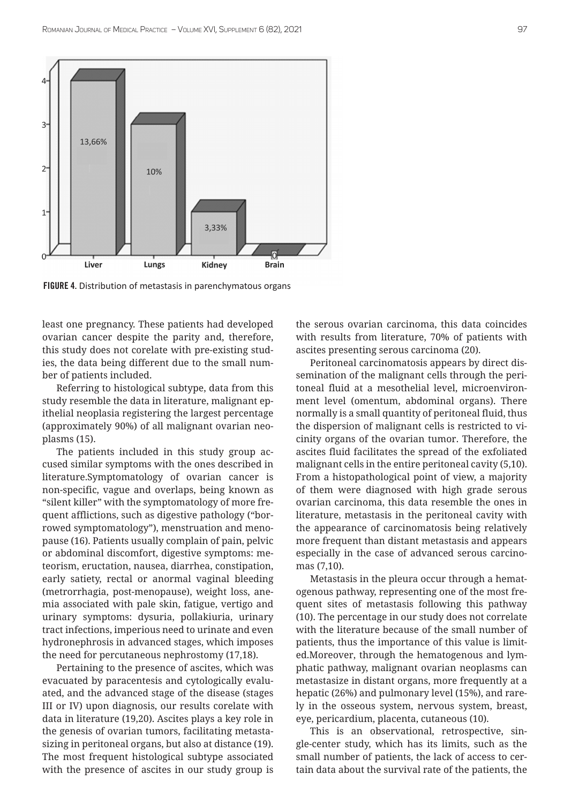

FIGURE 4. Distribution of metastasis in parenchymatous organs

least one pregnancy. These patients had developed ovarian cancer despite the parity and, therefore, this study does not corelate with pre-existing studies, the data being different due to the small number of patients included.

Referring to histological subtype, data from this study resemble the data in literature, malignant epithelial neoplasia registering the largest percentage (approximately 90%) of all malignant ovarian neoplasms (15).

The patients included in this study group accused similar symptoms with the ones described in literature.Symptomatology of ovarian cancer is non-specific, vague and overlaps, being known as "silent killer" with the symptomatology of more frequent afflictions, such as digestive pathology ("borrowed symptomatology"), menstruation and menopause (16). Patients usually complain of pain, pelvic or abdominal discomfort, digestive symptoms: meteorism, eructation, nausea, diarrhea, constipation, early satiety, rectal or anormal vaginal bleeding (metrorrhagia, post-menopause), weight loss, anemia associated with pale skin, fatigue, vertigo and urinary symptoms: dysuria, pollakiuria, urinary tract infections, imperious need to urinate and even hydronephrosis in advanced stages, which imposes the need for percutaneous nephrostomy (17,18).

Pertaining to the presence of ascites, which was evacuated by paracentesis and cytologically evaluated, and the advanced stage of the disease (stages III or IV) upon diagnosis, our results corelate with data in literature (19,20). Ascites plays a key role in the genesis of ovarian tumors, facilitating metastasizing in peritoneal organs, but also at distance (19). The most frequent histological subtype associated with the presence of ascites in our study group is the serous ovarian carcinoma, this data coincides with results from literature, 70% of patients with ascites presenting serous carcinoma (20).

Peritoneal carcinomatosis appears by direct dissemination of the malignant cells through the peritoneal fluid at a mesothelial level, microenvironment level (omentum, abdominal organs). There normally is a small quantity of peritoneal fluid, thus the dispersion of malignant cells is restricted to vicinity organs of the ovarian tumor. Therefore, the ascites fluid facilitates the spread of the exfoliated malignant cells in the entire peritoneal cavity (5,10). From a histopathological point of view, a majority of them were diagnosed with high grade serous ovarian carcinoma, this data resemble the ones in literature, metastasis in the peritoneal cavity with the appearance of carcinomatosis being relatively more frequent than distant metastasis and appears especially in the case of advanced serous carcinomas (7,10).

Metastasis in the pleura occur through a hematogenous pathway, representing one of the most frequent sites of metastasis following this pathway (10). The percentage in our study does not correlate with the literature because of the small number of patients, thus the importance of this value is limited.Moreover, through the hematogenous and lymphatic pathway, malignant ovarian neoplasms can metastasize in distant organs, more frequently at a hepatic (26%) and pulmonary level (15%), and rarely in the osseous system, nervous system, breast, eye, pericardium, placenta, cutaneous (10).

This is an observational, retrospective, single-center study, which has its limits, such as the small number of patients, the lack of access to certain data about the survival rate of the patients, the